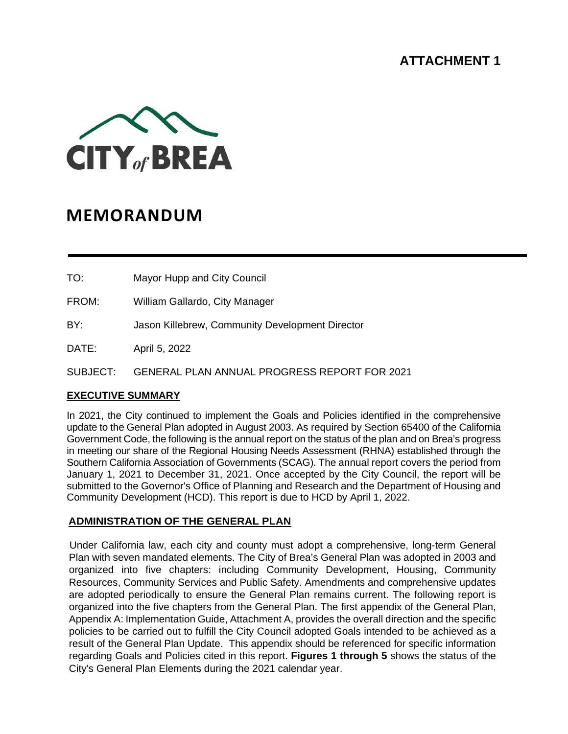# **ATTACHMENT 1**



# **MEMORANDUM**

TO: Mayor Hupp and City Council

FROM: William Gallardo, City Manager

BY: Jason Killebrew, Community Development Director

DATE: April 5, 2022

SUBJECT: GENERAL PLAN ANNUAL PROGRESS REPORT FOR 2021

### **EXECUTIVE SUMMARY**

In 2021, the City continued to implement the Goals and Policies identified in the comprehensive update to the General Plan adopted in August 2003. As required by Section 65400 of the California Government Code, the following is the annual report on the status of the plan and on Brea's progress in meeting our share of the Regional Housing Needs Assessment (RHNA) established through the Southern California Association of Governments (SCAG). The annual report covers the period from January 1, 2021 to December 31, 2021. Once accepted by the City Council, the report will be submitted to the Governor's Office of Planning and Research and the Department of Housing and Community Development (HCD). This report is due to HCD by April 1, 2022.

#### **ADMINISTRATION OF THE GENERAL PLAN**

Under California law, each city and county must adopt a comprehensive, long-term General Plan with seven mandated elements. The City of Brea's General Plan was adopted in 2003 and organized into five chapters: including Community Development, Housing, Community Resources, Community Services and Public Safety. Amendments and comprehensive updates are adopted periodically to ensure the General Plan remains current. The following report is organized into the five chapters from the General Plan. The first appendix of the General Plan, Appendix A: Implementation Guide, Attachment A, provides the overall direction and the specific policies to be carried out to fulfill the City Council adopted Goals intended to be achieved as a result of the General Plan Update. This appendix should be referenced for specific information regarding Goals and Policies cited in this report. **Figures 1 through 5** shows the status of the City's General Plan Elements during the 2021 calendar year.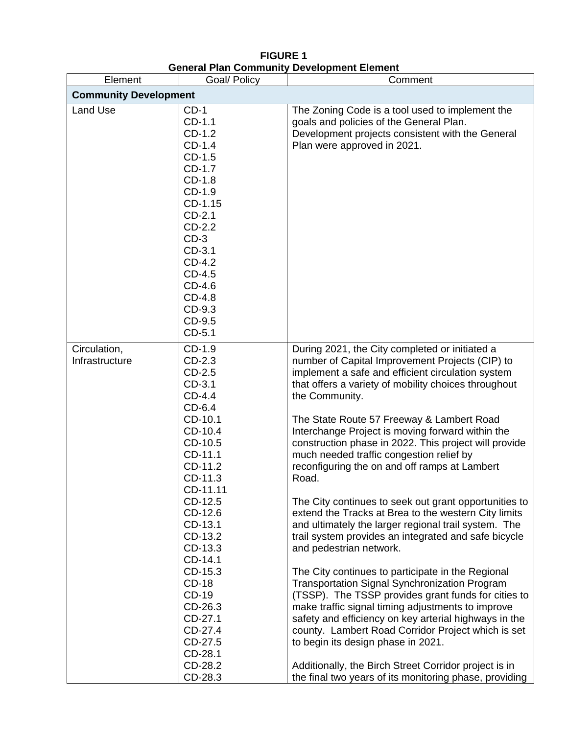| Element                        | onoran ran volunding<br>Goal/ Policy                                                                                                                                                                                                                                                                                              | Comment                                                                                                                                                                                                                                                                                                                                                                                                                                                                                                                                                                                                                                                                                                                                                                                                                                                                                                                                                                                                                                                                                                                                                                                                                                                       |
|--------------------------------|-----------------------------------------------------------------------------------------------------------------------------------------------------------------------------------------------------------------------------------------------------------------------------------------------------------------------------------|---------------------------------------------------------------------------------------------------------------------------------------------------------------------------------------------------------------------------------------------------------------------------------------------------------------------------------------------------------------------------------------------------------------------------------------------------------------------------------------------------------------------------------------------------------------------------------------------------------------------------------------------------------------------------------------------------------------------------------------------------------------------------------------------------------------------------------------------------------------------------------------------------------------------------------------------------------------------------------------------------------------------------------------------------------------------------------------------------------------------------------------------------------------------------------------------------------------------------------------------------------------|
| <b>Community Development</b>   |                                                                                                                                                                                                                                                                                                                                   |                                                                                                                                                                                                                                                                                                                                                                                                                                                                                                                                                                                                                                                                                                                                                                                                                                                                                                                                                                                                                                                                                                                                                                                                                                                               |
| <b>Land Use</b>                | $CD-1$<br>CD-1.1<br>$CD-1.2$<br>$CD-1.4$<br>$CD-1.5$<br>CD-1.7<br>CD-1.8<br>$CD-1.9$<br>CD-1.15<br>$CD-2.1$<br>$CD-2.2$<br>$CD-3$<br>CD-3.1<br>CD-4.2<br>CD-4.5<br>CD-4.6<br>CD-4.8<br>CD-9.3<br>CD-9.5<br>CD-5.1                                                                                                                 | The Zoning Code is a tool used to implement the<br>goals and policies of the General Plan.<br>Development projects consistent with the General<br>Plan were approved in 2021.                                                                                                                                                                                                                                                                                                                                                                                                                                                                                                                                                                                                                                                                                                                                                                                                                                                                                                                                                                                                                                                                                 |
| Circulation,<br>Infrastructure | CD-1.9<br>$CD-2.3$<br>$CD-2.5$<br>CD-3.1<br>$CD-4.4$<br>$CD-6.4$<br>CD-10.1<br>CD-10.4<br>CD-10.5<br>CD-11.1<br>CD-11.2<br>CD-11.3<br>CD-11.11<br>CD-12.5<br>CD-12.6<br>CD-13.1<br>CD-13.2<br>CD-13.3<br>CD-14.1<br>CD-15.3<br><b>CD-18</b><br>CD-19<br>CD-26.3<br>CD-27.1<br>CD-27.4<br>CD-27.5<br>CD-28.1<br>CD-28.2<br>CD-28.3 | During 2021, the City completed or initiated a<br>number of Capital Improvement Projects (CIP) to<br>implement a safe and efficient circulation system<br>that offers a variety of mobility choices throughout<br>the Community.<br>The State Route 57 Freeway & Lambert Road<br>Interchange Project is moving forward within the<br>construction phase in 2022. This project will provide<br>much needed traffic congestion relief by<br>reconfiguring the on and off ramps at Lambert<br>Road.<br>The City continues to seek out grant opportunities to<br>extend the Tracks at Brea to the western City limits<br>and ultimately the larger regional trail system. The<br>trail system provides an integrated and safe bicycle<br>and pedestrian network.<br>The City continues to participate in the Regional<br><b>Transportation Signal Synchronization Program</b><br>(TSSP). The TSSP provides grant funds for cities to<br>make traffic signal timing adjustments to improve<br>safety and efficiency on key arterial highways in the<br>county. Lambert Road Corridor Project which is set<br>to begin its design phase in 2021.<br>Additionally, the Birch Street Corridor project is in<br>the final two years of its monitoring phase, providing |

## **FIGURE 1 General Plan Community Development Element**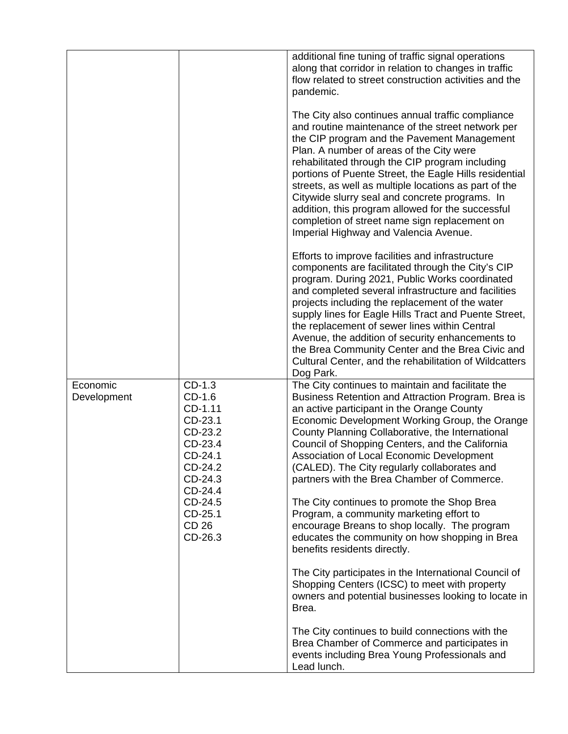|                                                                                                                                                                                          |                                                                                                                                                                                                                                                                                                                                                                                                                                                                                                                                                                                                                                                          | additional fine tuning of traffic signal operations<br>along that corridor in relation to changes in traffic<br>flow related to street construction activities and the<br>pandemic.                                                                                                                                                                                                                                                                                                                                                                                      |
|------------------------------------------------------------------------------------------------------------------------------------------------------------------------------------------|----------------------------------------------------------------------------------------------------------------------------------------------------------------------------------------------------------------------------------------------------------------------------------------------------------------------------------------------------------------------------------------------------------------------------------------------------------------------------------------------------------------------------------------------------------------------------------------------------------------------------------------------------------|--------------------------------------------------------------------------------------------------------------------------------------------------------------------------------------------------------------------------------------------------------------------------------------------------------------------------------------------------------------------------------------------------------------------------------------------------------------------------------------------------------------------------------------------------------------------------|
|                                                                                                                                                                                          |                                                                                                                                                                                                                                                                                                                                                                                                                                                                                                                                                                                                                                                          | The City also continues annual traffic compliance<br>and routine maintenance of the street network per<br>the CIP program and the Pavement Management<br>Plan. A number of areas of the City were<br>rehabilitated through the CIP program including<br>portions of Puente Street, the Eagle Hills residential<br>streets, as well as multiple locations as part of the<br>Citywide slurry seal and concrete programs. In<br>addition, this program allowed for the successful<br>completion of street name sign replacement on<br>Imperial Highway and Valencia Avenue. |
|                                                                                                                                                                                          |                                                                                                                                                                                                                                                                                                                                                                                                                                                                                                                                                                                                                                                          | Efforts to improve facilities and infrastructure<br>components are facilitated through the City's CIP<br>program. During 2021, Public Works coordinated<br>and completed several infrastructure and facilities<br>projects including the replacement of the water<br>supply lines for Eagle Hills Tract and Puente Street,<br>the replacement of sewer lines within Central<br>Avenue, the addition of security enhancements to<br>the Brea Community Center and the Brea Civic and<br>Cultural Center, and the rehabilitation of Wildcatters<br>Dog Park.               |
| Economic<br>$CD-1.3$<br>$CD-1.6$<br>Development<br>CD-1.11<br>CD-23.1<br>CD-23.2<br>CD-23.4<br>CD-24.1<br>CD-24.2<br>CD-24.3<br>CD-24.4<br>CD-24.5<br>CD-25.1<br><b>CD 26</b><br>CD-26.3 | The City continues to maintain and facilitate the<br>Business Retention and Attraction Program. Brea is<br>an active participant in the Orange County<br>Economic Development Working Group, the Orange<br>County Planning Collaborative, the International<br>Council of Shopping Centers, and the California<br>Association of Local Economic Development<br>(CALED). The City regularly collaborates and<br>partners with the Brea Chamber of Commerce.<br>The City continues to promote the Shop Brea<br>Program, a community marketing effort to<br>encourage Breans to shop locally. The program<br>educates the community on how shopping in Brea |                                                                                                                                                                                                                                                                                                                                                                                                                                                                                                                                                                          |
|                                                                                                                                                                                          | benefits residents directly.<br>The City participates in the International Council of<br>Shopping Centers (ICSC) to meet with property<br>owners and potential businesses looking to locate in<br>Brea.                                                                                                                                                                                                                                                                                                                                                                                                                                                  |                                                                                                                                                                                                                                                                                                                                                                                                                                                                                                                                                                          |
|                                                                                                                                                                                          |                                                                                                                                                                                                                                                                                                                                                                                                                                                                                                                                                                                                                                                          | The City continues to build connections with the<br>Brea Chamber of Commerce and participates in<br>events including Brea Young Professionals and<br>Lead lunch.                                                                                                                                                                                                                                                                                                                                                                                                         |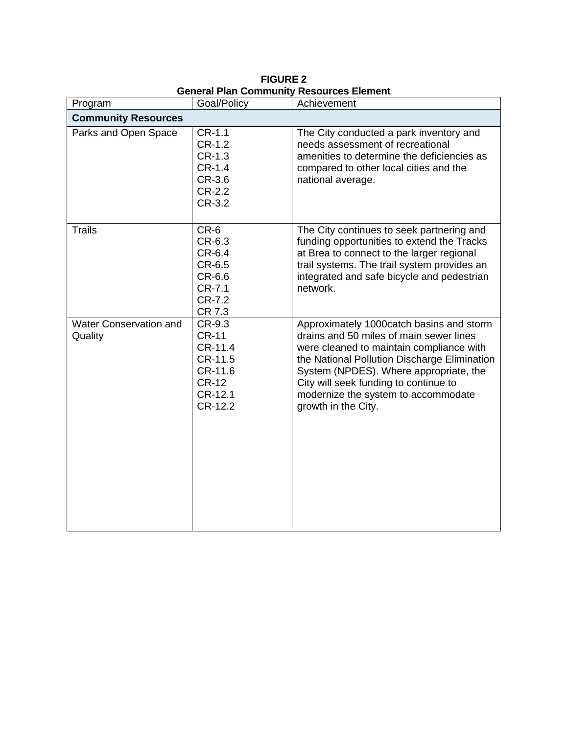| Program                                  | Goal/Policy                                                                                   | Achievement                                                                                                                                                                                                                                                                                                                      |
|------------------------------------------|-----------------------------------------------------------------------------------------------|----------------------------------------------------------------------------------------------------------------------------------------------------------------------------------------------------------------------------------------------------------------------------------------------------------------------------------|
| <b>Community Resources</b>               |                                                                                               |                                                                                                                                                                                                                                                                                                                                  |
| Parks and Open Space                     | $CR-1.1$<br>CR-1.2<br>CR-1.3<br>CR-1.4<br>CR-3.6<br>CR-2.2<br>CR-3.2                          | The City conducted a park inventory and<br>needs assessment of recreational<br>amenities to determine the deficiencies as<br>compared to other local cities and the<br>national average.                                                                                                                                         |
| <b>Trails</b>                            | CR-6<br>CR-6.3<br>CR-6.4<br>CR-6.5<br>CR-6.6<br>CR-7.1<br>CR-7.2<br>CR 7.3                    | The City continues to seek partnering and<br>funding opportunities to extend the Tracks<br>at Brea to connect to the larger regional<br>trail systems. The trail system provides an<br>integrated and safe bicycle and pedestrian<br>network.                                                                                    |
| <b>Water Conservation and</b><br>Quality | CR-9.3<br><b>CR-11</b><br>CR-11.4<br>CR-11.5<br>CR-11.6<br><b>CR-12</b><br>CR-12.1<br>CR-12.2 | Approximately 1000catch basins and storm<br>drains and 50 miles of main sewer lines<br>were cleaned to maintain compliance with<br>the National Pollution Discharge Elimination<br>System (NPDES). Where appropriate, the<br>City will seek funding to continue to<br>modernize the system to accommodate<br>growth in the City. |

**FIGURE 2 General Plan Community Resources Element**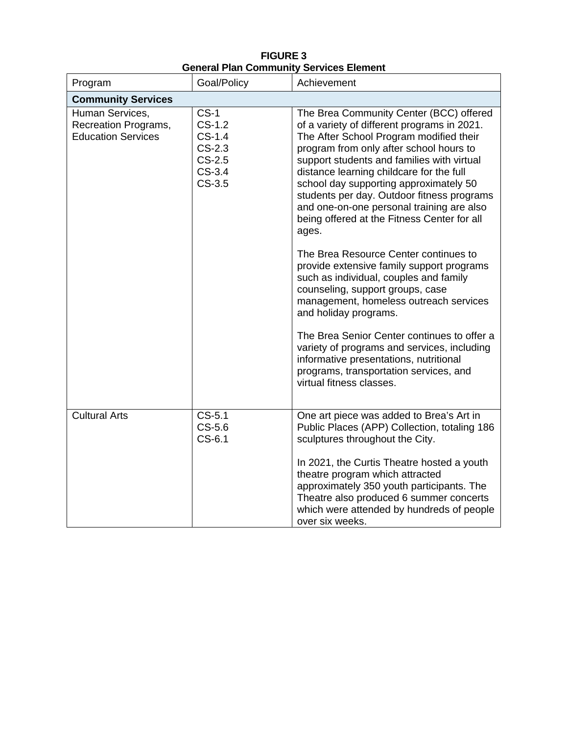|                                                                      |                                                                                | cian ran community och nees Element                                                                                                                                                                                                                                                                                                                                                                                                                                 |  |
|----------------------------------------------------------------------|--------------------------------------------------------------------------------|---------------------------------------------------------------------------------------------------------------------------------------------------------------------------------------------------------------------------------------------------------------------------------------------------------------------------------------------------------------------------------------------------------------------------------------------------------------------|--|
| Program                                                              | Goal/Policy                                                                    | Achievement                                                                                                                                                                                                                                                                                                                                                                                                                                                         |  |
| <b>Community Services</b>                                            |                                                                                |                                                                                                                                                                                                                                                                                                                                                                                                                                                                     |  |
| Human Services,<br>Recreation Programs,<br><b>Education Services</b> | $CS-1$<br>$CS-1.2$<br>$CS-1.4$<br>$CS-2.3$<br>$CS-2.5$<br>$CS-3.4$<br>$CS-3.5$ | The Brea Community Center (BCC) offered<br>of a variety of different programs in 2021.<br>The After School Program modified their<br>program from only after school hours to<br>support students and families with virtual<br>distance learning childcare for the full<br>school day supporting approximately 50<br>students per day. Outdoor fitness programs<br>and one-on-one personal training are also<br>being offered at the Fitness Center for all<br>ages. |  |
|                                                                      |                                                                                | The Brea Resource Center continues to<br>provide extensive family support programs<br>such as individual, couples and family<br>counseling, support groups, case<br>management, homeless outreach services<br>and holiday programs.                                                                                                                                                                                                                                 |  |
|                                                                      |                                                                                | The Brea Senior Center continues to offer a<br>variety of programs and services, including<br>informative presentations, nutritional<br>programs, transportation services, and<br>virtual fitness classes.                                                                                                                                                                                                                                                          |  |
| <b>Cultural Arts</b>                                                 | $CS-5.1$<br>$CS-5.6$<br>$CS-6.1$                                               | One art piece was added to Brea's Art in<br>Public Places (APP) Collection, totaling 186<br>sculptures throughout the City.                                                                                                                                                                                                                                                                                                                                         |  |
|                                                                      |                                                                                | In 2021, the Curtis Theatre hosted a youth<br>theatre program which attracted<br>approximately 350 youth participants. The<br>Theatre also produced 6 summer concerts<br>which were attended by hundreds of people<br>over six weeks.                                                                                                                                                                                                                               |  |

**FIGURE 3 General Plan Community Services Element**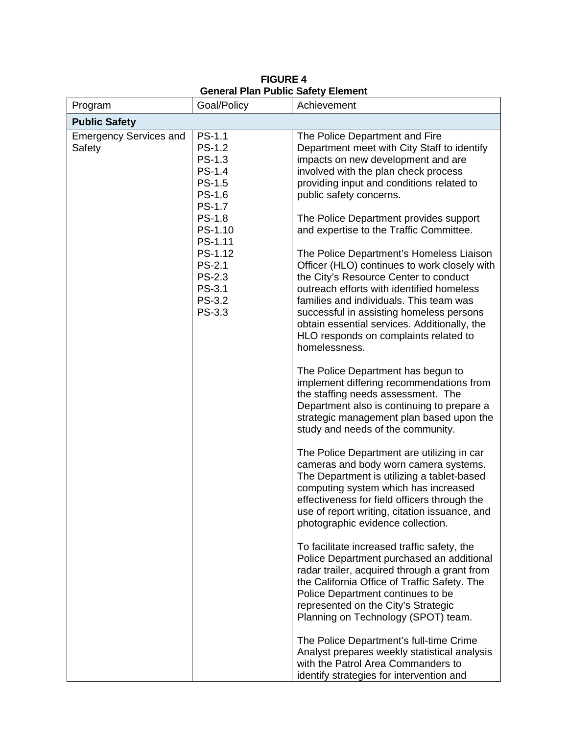**FIGURE 4 General Plan Public Safety Element**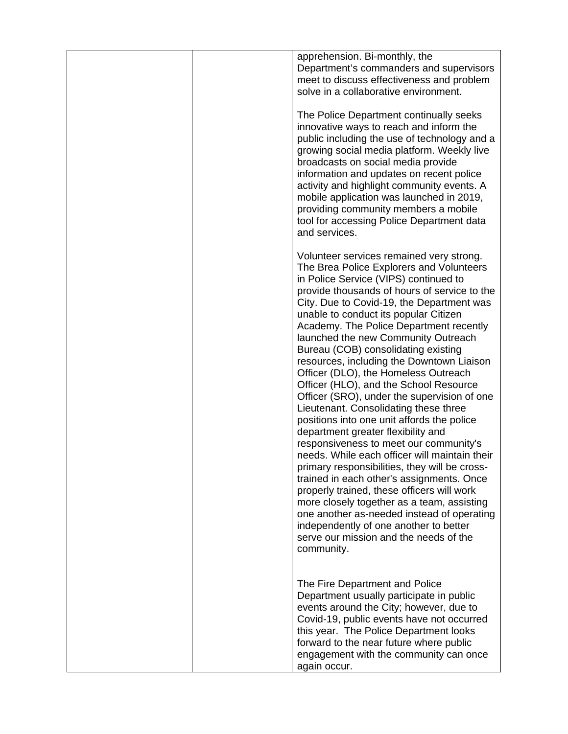|  | apprehension. Bi-monthly, the<br>Department's commanders and supervisors<br>meet to discuss effectiveness and problem<br>solve in a collaborative environment.                                                                                                                                                                                                                                                                                                                                                                                                                                                                                                                                                                                                                                                                                                                                                                                                                                                                                                                                                                               |
|--|----------------------------------------------------------------------------------------------------------------------------------------------------------------------------------------------------------------------------------------------------------------------------------------------------------------------------------------------------------------------------------------------------------------------------------------------------------------------------------------------------------------------------------------------------------------------------------------------------------------------------------------------------------------------------------------------------------------------------------------------------------------------------------------------------------------------------------------------------------------------------------------------------------------------------------------------------------------------------------------------------------------------------------------------------------------------------------------------------------------------------------------------|
|  | The Police Department continually seeks<br>innovative ways to reach and inform the<br>public including the use of technology and a<br>growing social media platform. Weekly live<br>broadcasts on social media provide<br>information and updates on recent police<br>activity and highlight community events. A<br>mobile application was launched in 2019,<br>providing community members a mobile<br>tool for accessing Police Department data<br>and services.                                                                                                                                                                                                                                                                                                                                                                                                                                                                                                                                                                                                                                                                           |
|  | Volunteer services remained very strong.<br>The Brea Police Explorers and Volunteers<br>in Police Service (VIPS) continued to<br>provide thousands of hours of service to the<br>City. Due to Covid-19, the Department was<br>unable to conduct its popular Citizen<br>Academy. The Police Department recently<br>launched the new Community Outreach<br>Bureau (COB) consolidating existing<br>resources, including the Downtown Liaison<br>Officer (DLO), the Homeless Outreach<br>Officer (HLO), and the School Resource<br>Officer (SRO), under the supervision of one<br>Lieutenant. Consolidating these three<br>positions into one unit affords the police<br>department greater flexibility and<br>responsiveness to meet our community's<br>needs. While each officer will maintain their<br>primary responsibilities, they will be cross-<br>trained in each other's assignments. Once<br>properly trained, these officers will work<br>more closely together as a team, assisting<br>one another as-needed instead of operating<br>independently of one another to better<br>serve our mission and the needs of the<br>community. |
|  | The Fire Department and Police<br>Department usually participate in public<br>events around the City; however, due to<br>Covid-19, public events have not occurred<br>this year. The Police Department looks<br>forward to the near future where public<br>engagement with the community can once<br>again occur.                                                                                                                                                                                                                                                                                                                                                                                                                                                                                                                                                                                                                                                                                                                                                                                                                            |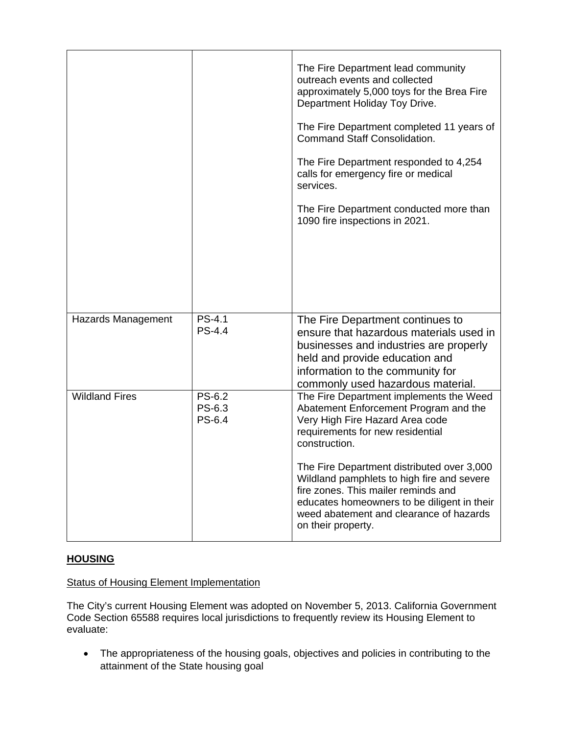|                       |                            | The Fire Department lead community<br>outreach events and collected<br>approximately 5,000 toys for the Brea Fire<br>Department Holiday Toy Drive.<br>The Fire Department completed 11 years of<br><b>Command Staff Consolidation.</b><br>The Fire Department responded to 4,254<br>calls for emergency fire or medical<br>services.<br>The Fire Department conducted more than<br>1090 fire inspections in 2021.           |
|-----------------------|----------------------------|-----------------------------------------------------------------------------------------------------------------------------------------------------------------------------------------------------------------------------------------------------------------------------------------------------------------------------------------------------------------------------------------------------------------------------|
| Hazards Management    | PS-4.1<br><b>PS-4.4</b>    | The Fire Department continues to<br>ensure that hazardous materials used in<br>businesses and industries are properly<br>held and provide education and<br>information to the community for<br>commonly used hazardous material.                                                                                                                                                                                            |
| <b>Wildland Fires</b> | PS-6.2<br>PS-6.3<br>PS-6.4 | The Fire Department implements the Weed<br>Abatement Enforcement Program and the<br>Very High Fire Hazard Area code<br>requirements for new residential<br>construction.<br>The Fire Department distributed over 3,000<br>Wildland pamphlets to high fire and severe<br>fire zones. This mailer reminds and<br>educates homeowners to be diligent in their<br>weed abatement and clearance of hazards<br>on their property. |

## **HOUSING**

### Status of Housing Element Implementation

The City's current Housing Element was adopted on November 5, 2013. California Government Code Section 65588 requires local jurisdictions to frequently review its Housing Element to evaluate:

• The appropriateness of the housing goals, objectives and policies in contributing to the attainment of the State housing goal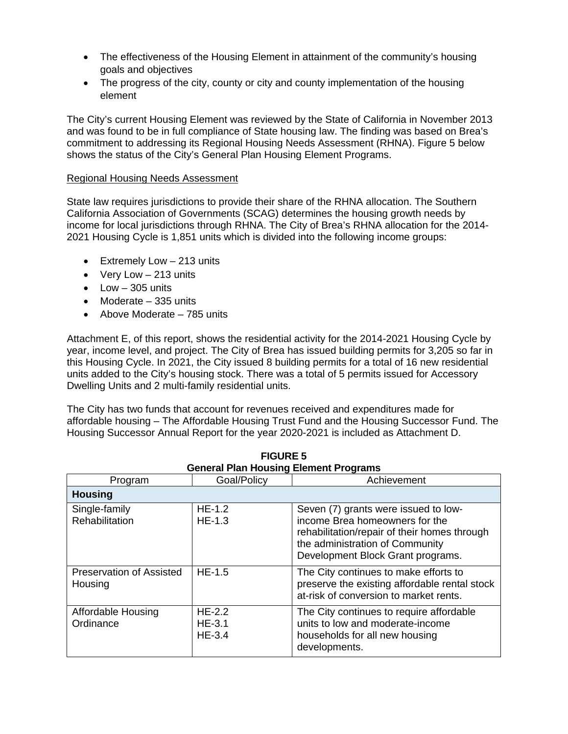- The effectiveness of the Housing Element in attainment of the community's housing goals and objectives
- The progress of the city, county or city and county implementation of the housing element

The City's current Housing Element was reviewed by the State of California in November 2013 and was found to be in full compliance of State housing law. The finding was based on Brea's commitment to addressing its Regional Housing Needs Assessment (RHNA). Figure 5 below shows the status of the City's General Plan Housing Element Programs.

#### Regional Housing Needs Assessment

State law requires jurisdictions to provide their share of the RHNA allocation. The Southern California Association of Governments (SCAG) determines the housing growth needs by income for local jurisdictions through RHNA. The City of Brea's RHNA allocation for the 2014- 2021 Housing Cycle is 1,851 units which is divided into the following income groups:

- Extremely Low 213 units
- Very Low 213 units
- $\bullet$  Low  $-305$  units
- Moderate 335 units
- Above Moderate 785 units

Attachment E, of this report, shows the residential activity for the 2014-2021 Housing Cycle by year, income level, and project. The City of Brea has issued building permits for 3,205 so far in this Housing Cycle. In 2021, the City issued 8 building permits for a total of 16 new residential units added to the City's housing stock. There was a total of 5 permits issued for Accessory Dwelling Units and 2 multi-family residential units.

The City has two funds that account for revenues received and expenditures made for affordable housing – The Affordable Housing Trust Fund and the Housing Successor Fund. The Housing Successor Annual Report for the year 2020-2021 is included as Attachment D.

**FIGURE 5**

| <b>General Plan Housing Element Programs</b> |                                  |                                                                                                                                                                                                |
|----------------------------------------------|----------------------------------|------------------------------------------------------------------------------------------------------------------------------------------------------------------------------------------------|
| Program                                      | Goal/Policy                      | Achievement                                                                                                                                                                                    |
| <b>Housing</b>                               |                                  |                                                                                                                                                                                                |
| Single-family<br><b>Rehabilitation</b>       | $HE-1.2$<br>$HE-1.3$             | Seven (7) grants were issued to low-<br>income Brea homeowners for the<br>rehabilitation/repair of their homes through<br>the administration of Community<br>Development Block Grant programs. |
| <b>Preservation of Assisted</b><br>Housing   | $HE-1.5$                         | The City continues to make efforts to<br>preserve the existing affordable rental stock<br>at-risk of conversion to market rents.                                                               |
| Affordable Housing<br>Ordinance              | $HE-2.2$<br>$HE-3.1$<br>$HE-3.4$ | The City continues to require affordable<br>units to low and moderate-income<br>households for all new housing<br>developments.                                                                |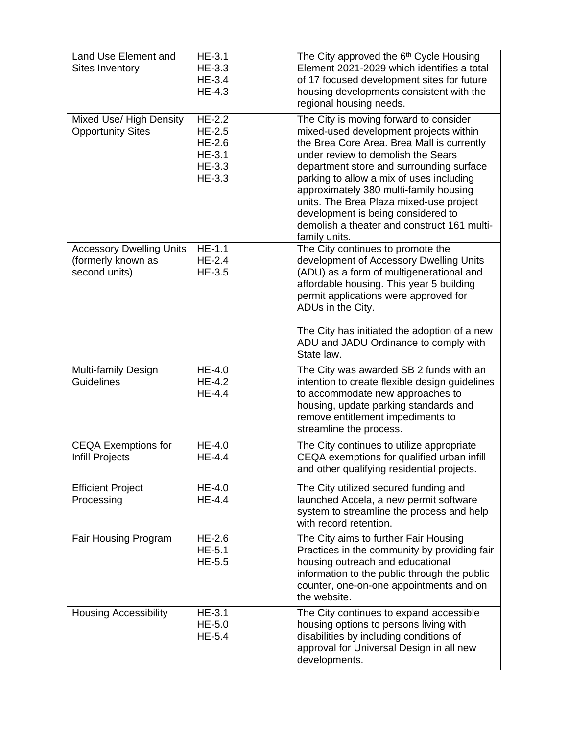| Land Use Element and<br>Sites Inventory                                | <b>HE-3.1</b><br>HE-3.3<br>HE-3.4<br>$HE-4.3$                         | The City approved the 6 <sup>th</sup> Cycle Housing<br>Element 2021-2029 which identifies a total<br>of 17 focused development sites for future<br>housing developments consistent with the<br>regional housing needs.                                                                                                                                                                                                                                  |
|------------------------------------------------------------------------|-----------------------------------------------------------------------|---------------------------------------------------------------------------------------------------------------------------------------------------------------------------------------------------------------------------------------------------------------------------------------------------------------------------------------------------------------------------------------------------------------------------------------------------------|
| Mixed Use/ High Density<br><b>Opportunity Sites</b>                    | <b>HE-2.2</b><br>$HE-2.5$<br>$HE-2.6$<br>$HE-3.1$<br>HE-3.3<br>HE-3.3 | The City is moving forward to consider<br>mixed-used development projects within<br>the Brea Core Area. Brea Mall is currently<br>under review to demolish the Sears<br>department store and surrounding surface<br>parking to allow a mix of uses including<br>approximately 380 multi-family housing<br>units. The Brea Plaza mixed-use project<br>development is being considered to<br>demolish a theater and construct 161 multi-<br>family units. |
| <b>Accessory Dwelling Units</b><br>(formerly known as<br>second units) | $HE-1.1$<br>$HE-2.4$<br>$HE-3.5$                                      | The City continues to promote the<br>development of Accessory Dwelling Units<br>(ADU) as a form of multigenerational and<br>affordable housing. This year 5 building<br>permit applications were approved for<br>ADUs in the City.<br>The City has initiated the adoption of a new<br>ADU and JADU Ordinance to comply with<br>State law.                                                                                                               |
| Multi-family Design<br>Guidelines                                      | $HE-4.0$<br><b>HE-4.2</b><br>HE-4.4                                   | The City was awarded SB 2 funds with an<br>intention to create flexible design guidelines<br>to accommodate new approaches to<br>housing, update parking standards and<br>remove entitlement impediments to<br>streamline the process.                                                                                                                                                                                                                  |
| <b>CEQA Exemptions for</b><br><b>Infill Projects</b>                   | $HE-4.0$<br>HE-4.4                                                    | The City continues to utilize appropriate<br>CEQA exemptions for qualified urban infill<br>and other qualifying residential projects.                                                                                                                                                                                                                                                                                                                   |
| <b>Efficient Project</b><br>Processing                                 | HE-4.0<br>HE-4.4                                                      | The City utilized secured funding and<br>launched Accela, a new permit software<br>system to streamline the process and help<br>with record retention.                                                                                                                                                                                                                                                                                                  |
| Fair Housing Program                                                   | $HE-2.6$<br>$HE-5.1$<br>HE-5.5                                        | The City aims to further Fair Housing<br>Practices in the community by providing fair<br>housing outreach and educational<br>information to the public through the public<br>counter, one-on-one appointments and on<br>the website.                                                                                                                                                                                                                    |
| <b>Housing Accessibility</b>                                           | $HE-3.1$<br>$HE-5.0$<br>HE-5.4                                        | The City continues to expand accessible<br>housing options to persons living with<br>disabilities by including conditions of<br>approval for Universal Design in all new<br>developments.                                                                                                                                                                                                                                                               |